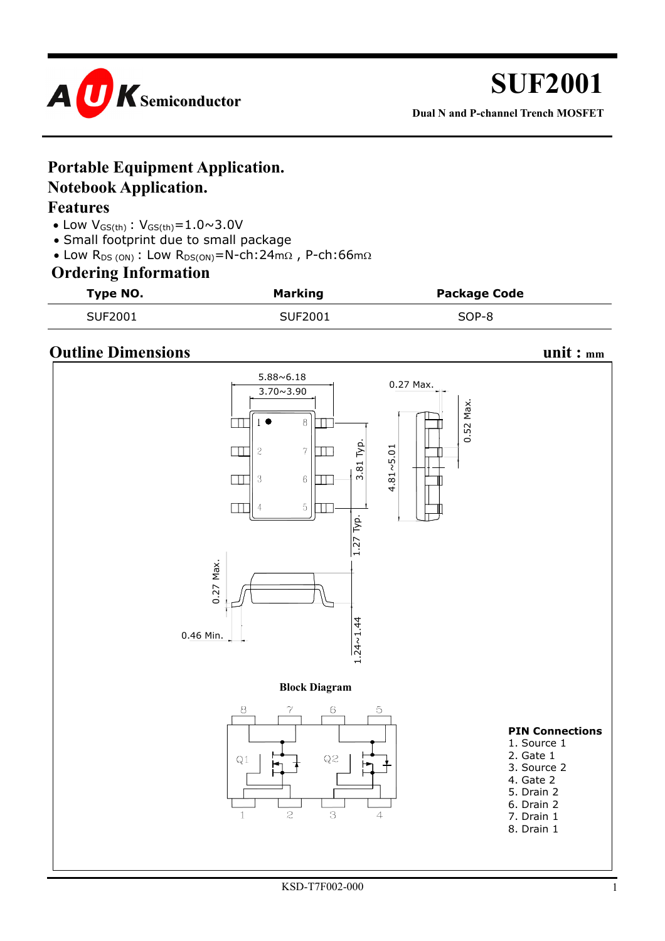

**Dual N and P-channel Trench MOSFET**

### **Portable Equipment Application. Notebook Application.**

#### **Features**

- Low  $V_{GS(th)}$ :  $V_{GS(th)} = 1.0 \times 3.0 V$
- Small footprint due to small package
- Low  $R_{DS (ON)}$ : Low  $R_{DS (ON)}$ =N-ch:24m $\Omega$ , P-ch:66m $\Omega$

#### **Ordering Information**

| Type NO.       | <b>Marking</b> | <b>Package Code</b> |  |  |
|----------------|----------------|---------------------|--|--|
| <b>SUF2001</b> | <b>SUF2001</b> | SOP-8               |  |  |

#### **Outline Dimensions** unit : mm

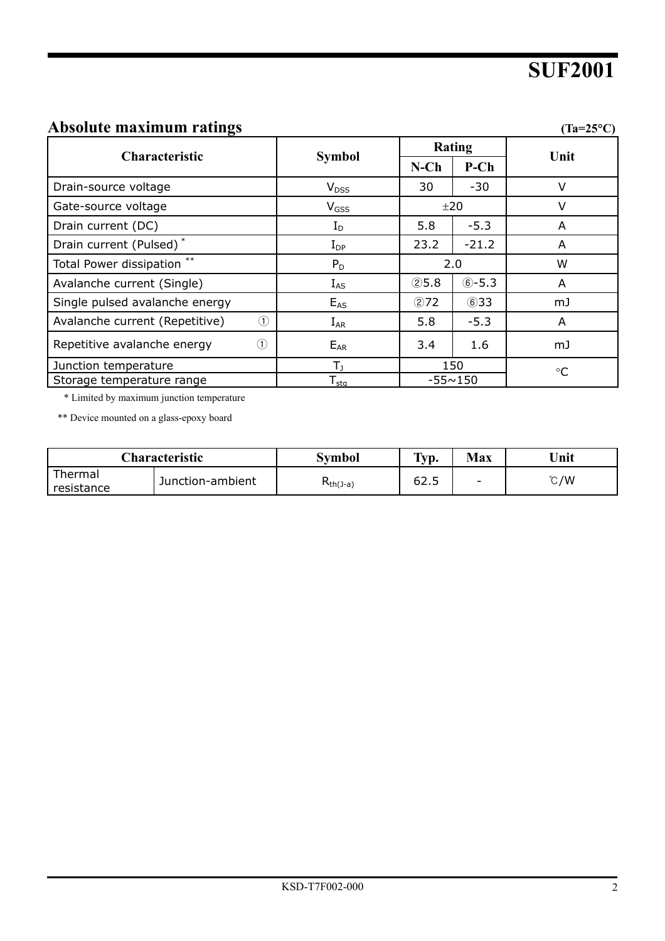### Absolute maximum ratings (Ta=25<sup>°</sup>C)

| ਤ<br><b>Characteristic</b>       |                                     | <b>Symbol</b>                | Rating         |           | Unit        |  |
|----------------------------------|-------------------------------------|------------------------------|----------------|-----------|-------------|--|
|                                  |                                     |                              | $N$ -Ch        | $P-Ch$    |             |  |
| Drain-source voltage             |                                     | <b>V</b> <sub>DSS</sub>      | 30             | $-30$     | V           |  |
| Gate-source voltage              |                                     | V <sub>GSS</sub>             | ±20            |           | V           |  |
| Drain current (DC)               |                                     | $\rm I_{D}$                  | 5.8            | $-5.3$    | A           |  |
| Drain current (Pulsed)*          |                                     | ${\rm I_{DP}}$               | 23.2           | $-21.2$   | A           |  |
| $***$<br>Total Power dissipation |                                     | $P_D$                        | 2.0            |           | W           |  |
| Avalanche current (Single)       |                                     | $\rm I_{AS}$                 | (2)5.8         | $6 - 5.3$ | A           |  |
| Single pulsed avalanche energy   |                                     | $E_{AS}$                     | @72            | 633       | mJ          |  |
| Avalanche current (Repetitive)   | $\odot$                             | $\rm I_{AR}$                 | 5.8            | $-5.3$    | A           |  |
| Repetitive avalanche energy      | $^{\textcircled{\footnotesize{1}}}$ | $E_{AR}$                     | 3.4            | 1.6       | mJ          |  |
| Junction temperature             |                                     | Tı                           | 150            |           | $^{\circ}C$ |  |
| Storage temperature range        |                                     | ${\mathsf T}_{\textsf{stg}}$ | $-55 \sim 150$ |           |             |  |

\* Limited by maximum junction temperature

\*\* Device mounted on a glass-epoxy board

| <b>Characteristic</b> |                  | Svmbol        | Typ. | Max                      | Unit          |
|-----------------------|------------------|---------------|------|--------------------------|---------------|
| Thermal<br>resistance | Junction-ambient | $K_{th(J-a)}$ | 62.5 | $\overline{\phantom{0}}$ | $\degree$ C/W |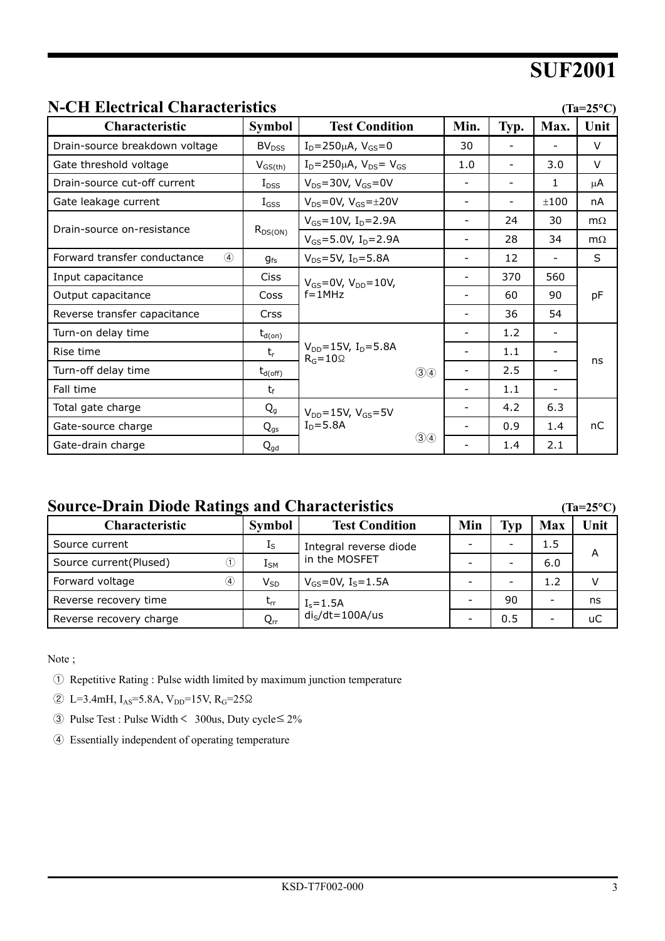### **N-CH Electrical Characteristics (Ta=25**°**C)**

| IN-UIT EIECHTICAT UITAL ACTEITISTICS<br>(1a=45°C) |                     |                                                           |                          |      |                          |           |  |
|---------------------------------------------------|---------------------|-----------------------------------------------------------|--------------------------|------|--------------------------|-----------|--|
| <b>Characteristic</b>                             | <b>Symbol</b>       | <b>Test Condition</b>                                     | Min.                     | Typ. | Max.                     | Unit      |  |
| Drain-source breakdown voltage                    | BV <sub>DSS</sub>   | $I_D = 250 \mu A$ , $V_{GS} = 0$                          | 30                       |      |                          | V         |  |
| Gate threshold voltage                            | $V_{GS(th)}$        | $I_D = 250 \mu A$ , $V_{DS} = V_{GS}$                     | 1.0                      |      | 3.0                      | V         |  |
| Drain-source cut-off current                      | $I_{DSS}$           | $V_{DS} = 30V$ , $V_{GS} = 0V$                            |                          |      | 1                        | μA        |  |
| Gate leakage current                              | $I_{GSS}$           | $V_{DS} = 0V$ , $V_{GS} = \pm 20V$                        | $\overline{\phantom{a}}$ |      | ±100                     | nA        |  |
| Drain-source on-resistance                        |                     | $V_{GS} = 10V$ , I <sub>D</sub> =2.9A                     | -                        | 24   | 30                       | $m\Omega$ |  |
|                                                   | $R_{DS(ON)}$        | $V_{GS} = 5.0V$ , I <sub>D</sub> =2.9A                    | -                        | 28   | 34                       | $m\Omega$ |  |
| Forward transfer conductance<br>$\circled{4}$     | $g_{fs}$            | $V_{DS} = 5V$ , I <sub>D</sub> =5.8A                      | -                        | 12   | $\overline{\phantom{0}}$ | S         |  |
| Input capacitance                                 | <b>Ciss</b>         | $V_{GS} = 0V$ , $V_{DD} = 10V$ ,                          |                          | 370  | 560                      |           |  |
| Output capacitance                                | Coss                | $f = 1$ MHz                                               | -                        | 60   | 90                       | pF        |  |
| Reverse transfer capacitance                      | Crss                |                                                           | -                        | 36   | 54                       |           |  |
| Turn-on delay time                                | $t_{d(on)}$         |                                                           | -                        | 1.2  | $\overline{\phantom{a}}$ |           |  |
| Rise time                                         | $t_{r}$             | $V_{DD} = 15V$ , I <sub>D</sub> =5.8A<br>$R_G = 10\Omega$ | -                        | 1.1  | $\overline{\phantom{a}}$ |           |  |
| Turn-off delay time                               | $t_{d(\text{off})}$ | $\circled{3}$                                             | -                        | 2.5  | $\qquad \qquad$          | ns        |  |
| Fall time                                         | $t_{\rm f}$         |                                                           | -                        | 1.1  | $\overline{\phantom{0}}$ |           |  |
| Total gate charge                                 | $Q_{g}$             | $V_{DD} = 15V$ , $V_{GS} = 5V$                            | -                        | 4.2  | 6.3                      |           |  |
| Gate-source charge                                | $Q_{gs}$            | $I_D = 5.8A$                                              |                          | 0.9  | 1.4                      | пC        |  |
| Gate-drain charge                                 | $Q_{gd}$            | $\textcircled{3}$                                         |                          | 1.4  | 2.1                      |           |  |

### **Source-Drain Diode Ratings and Characteristics (Ta=25**°**C)**

Characteristic Symbol Test Condition Min Typ Max Unit Source current  $\begin{vmatrix} I_s & \text{Integral reverse diode} \\ \end{vmatrix}$   $\begin{vmatrix} - \\ - \end{vmatrix}$   $\begin{vmatrix} -1.5 \\ -1.5 \end{vmatrix}$ Source current(Plused)  $\bigcirc$   $\bigcirc$   $I_{\text{SM}}$ in the MOSFET - - 6.0 A Forward voltage  $\qquad \qquad \textcircled{4} \qquad \text{V}_{SD} \qquad \text{V}_{GS}=0 \text{V}, \quad \text{I}_S=1.5 \text{A} \qquad \qquad \text{I}_1 \qquad \text{I}_2 \qquad \text{V}_3$ Reverse recovery time  $t_{rr}$   $\begin{array}{ccc} 1 & - & 90 \end{array}$  -  $\begin{array}{ccc} 9 & - & \end{array}$ Reverse recovery charge  $\begin{array}{ccc} & & & \mathbf{Q}_{rr} \end{array}$  $I_s = 1.5A$  $di<sub>S</sub>/dt = 100A/us$  - 0.5 - uC

Note ;

- ① Repetitive Rating : Pulse width limited by maximum junction temperature
- $2$  L=3.4mH, I<sub>AS</sub>=5.8A, V<sub>DD</sub>=15V, R<sub>G</sub>=25Ω
- ③ Pulse Test : Pulse Width< 300us, Duty cycle≤ 2%
- ④ Essentially independent of operating temperature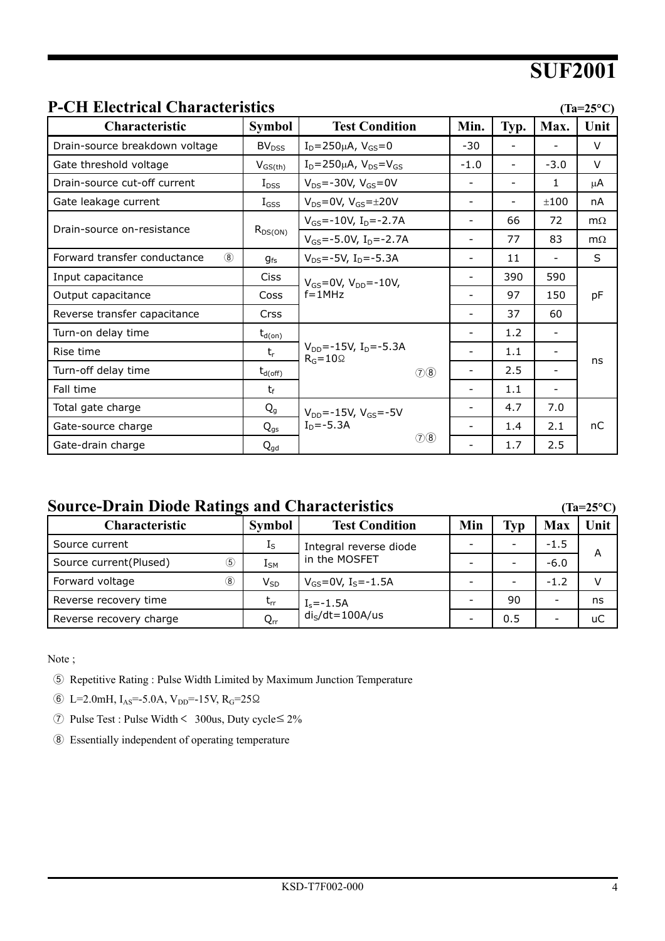### **P-CH Electrical Characteristics (Ta=25**°**C)**

| 1 - CH EICUI ICAI CHAI ACICI ISUCS<br>$(1a-25)$ |                     |                                                           |                          |      |                          |           |  |  |
|-------------------------------------------------|---------------------|-----------------------------------------------------------|--------------------------|------|--------------------------|-----------|--|--|
| <b>Characteristic</b>                           | <b>Symbol</b>       | <b>Test Condition</b>                                     | Min.                     | Typ. | Max.                     | Unit      |  |  |
| Drain-source breakdown voltage                  | BV <sub>DSS</sub>   | $I_D = 250 \mu A$ , $V_{GS} = 0$                          | $-30$                    |      |                          | $\vee$    |  |  |
| Gate threshold voltage                          | $V_{GS(th)}$        | $I_D = 250 \mu A$ , $V_{DS} = V_{GS}$                     | $-1.0$                   |      | $-3.0$                   | $\vee$    |  |  |
| Drain-source cut-off current                    | $I_{DSS}$           | $V_{DS} = -30V$ , $V_{GS} = 0V$                           |                          | -    | 1                        | μA        |  |  |
| Gate leakage current                            | $I_{GSS}$           | $V_{DS} = 0V$ , $V_{GS} = \pm 20V$                        | $\overline{\phantom{a}}$ | -    | ±100                     | nA        |  |  |
| Drain-source on-resistance                      |                     | $V_{GS}$ =-10V, I <sub>D</sub> =-2.7A                     | -                        | 66   | 72                       | $m\Omega$ |  |  |
|                                                 | $R_{DS(ON)}$        | $V_{GS}$ =-5.0V, I <sub>D</sub> =-2.7A                    | Ξ.                       | 77   | 83                       | $m\Omega$ |  |  |
| $\circled{8}$<br>Forward transfer conductance   | $g_{fs}$            | $V_{DS} = -5V$ , I <sub>D</sub> =-5.3A                    | $\overline{\phantom{a}}$ | 11   | $\overline{\phantom{a}}$ | S         |  |  |
| Input capacitance                               | <b>Ciss</b>         | $V_{GS} = 0V$ , $V_{DD} = -10V$ ,                         | $\overline{\phantom{a}}$ | 390  | 590                      |           |  |  |
| Output capacitance                              | Coss                | $f = 1$ MHz                                               | -                        | 97   | 150                      | pF        |  |  |
| Reverse transfer capacitance                    | <b>Crss</b>         |                                                           | Ξ.                       | 37   | 60                       |           |  |  |
| Turn-on delay time                              | $t_{d(on)}$         |                                                           | -                        | 1.2  | $\overline{\phantom{a}}$ |           |  |  |
| Rise time                                       | $t_{r}$             | $V_{DD}$ =-15V, I <sub>D</sub> =-5.3A<br>$R_G = 10\Omega$ | $\overline{\phantom{0}}$ | 1.1  | $\overline{\phantom{a}}$ |           |  |  |
| Turn-off delay time                             | $t_{d(\text{off})}$ | (2)                                                       | $\qquad \qquad -$        | 2.5  | $\overline{\phantom{a}}$ | ns        |  |  |
| Fall time                                       | $t_{\rm f}$         |                                                           |                          | 1.1  |                          |           |  |  |
| Total gate charge                               | $Q_{g}$             | $V_{DD}$ =-15V, V <sub>GS</sub> =-5V                      |                          | 4.7  | 7.0                      |           |  |  |
| Gate-source charge                              | $Q_{gs}$            | $I_D = -5.3A$                                             |                          | 1.4  | 2.1                      | пC        |  |  |
| Gate-drain charge                               | $Q_{gd}$            | $\circled{7}$                                             |                          | 1.7  | 2.5                      |           |  |  |

### **Source-Drain Diode Ratings and Characteristics (Ta=25**°**C)**

Characteristic Symbol Test Condition Min Typ Max Unit Source current IS - - -1.5 Integral reverse diode Source current(Plused)  $\begin{array}{ccc} \text{S} & \text{I}_{\text{SM}} \end{array}$ in the MOSFET - - -6.0 A Forward voltage  $\circled{8}$   $V_{SD}$   $V_{GS}=0$ V, I<sub>S</sub>=-1.5A  $\circ$   $\circ$   $\circ$   $\circ$   $\circ$  -1.2  $\circ$  V Reverse recovery time  $t_{rr}$  |  $t_{rr}$  |  $t_{s=1.5A}$  |  $-$  | 90 |  $-$  | ns Reverse recovery charge  $\begin{array}{ccc} & & & \mathbf{Q}_{rr} \end{array}$  $I_s = -1.5A$  $di<sub>S</sub>/dt = 100A/us$  - 0.5 - uC

Note ;

- ⑤ Repetitive Rating : Pulse Width Limited by Maximum Junction Temperature
- © L=2.0mH, I<sub>AS</sub>=-5.0A, V<sub>DD</sub>=-15V, R<sub>G</sub>=25Ω
- ⑦ Pulse Test : Pulse Width< 300us, Duty cycle≤ 2%
- ⑧ Essentially independent of operating temperature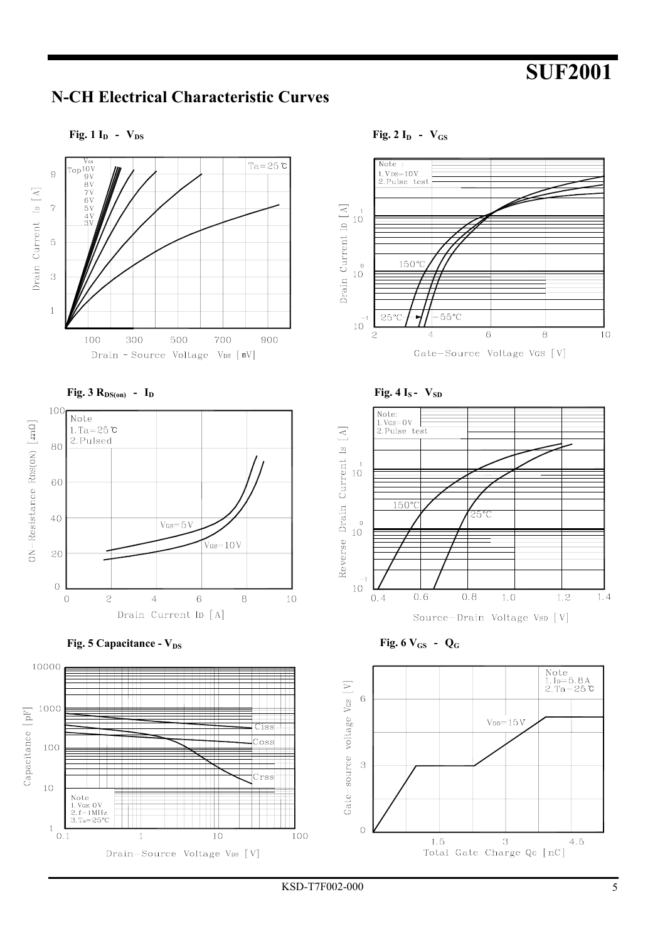### **N-CH Electrical Characteristic Curves**



KSD-T7F002-000 5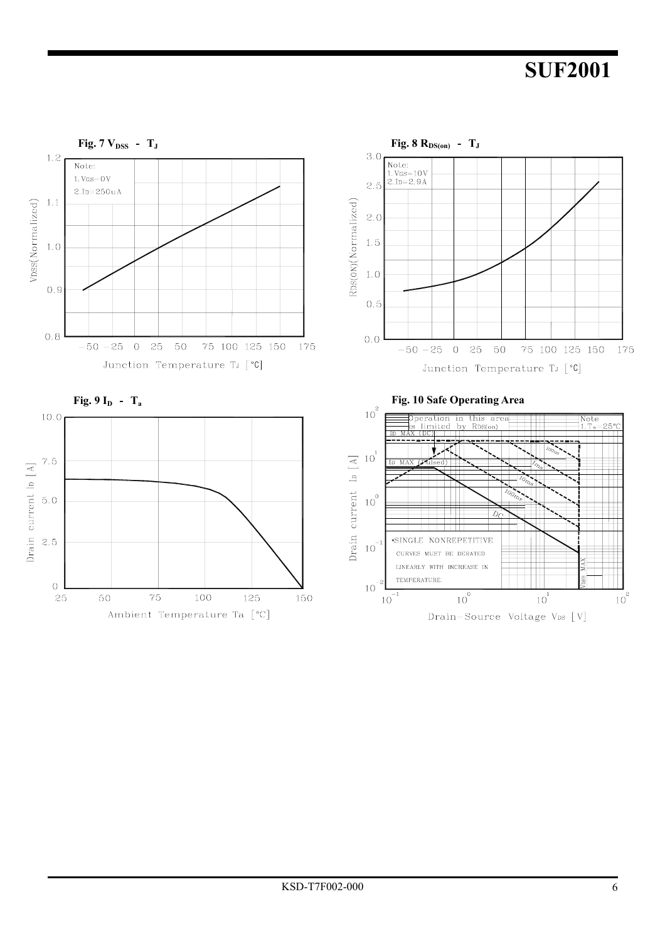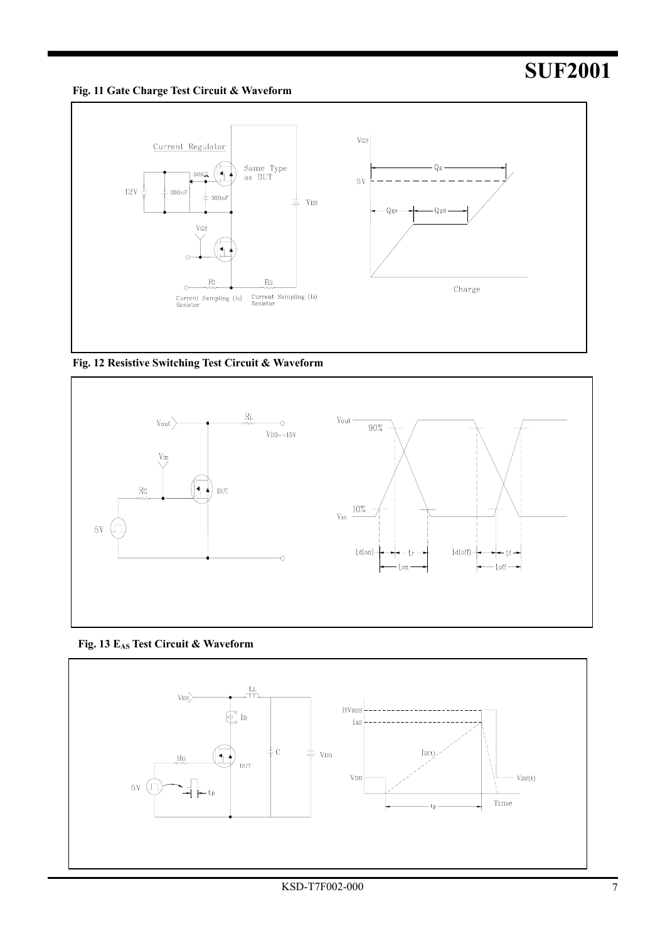**Fig. 11 Gate Charge Test Circuit & Waveform** 



 **Fig. 12 Resistive Switching Test Circuit & Waveform** 



 **Fig. 13 EAS Test Circuit & Waveform** 

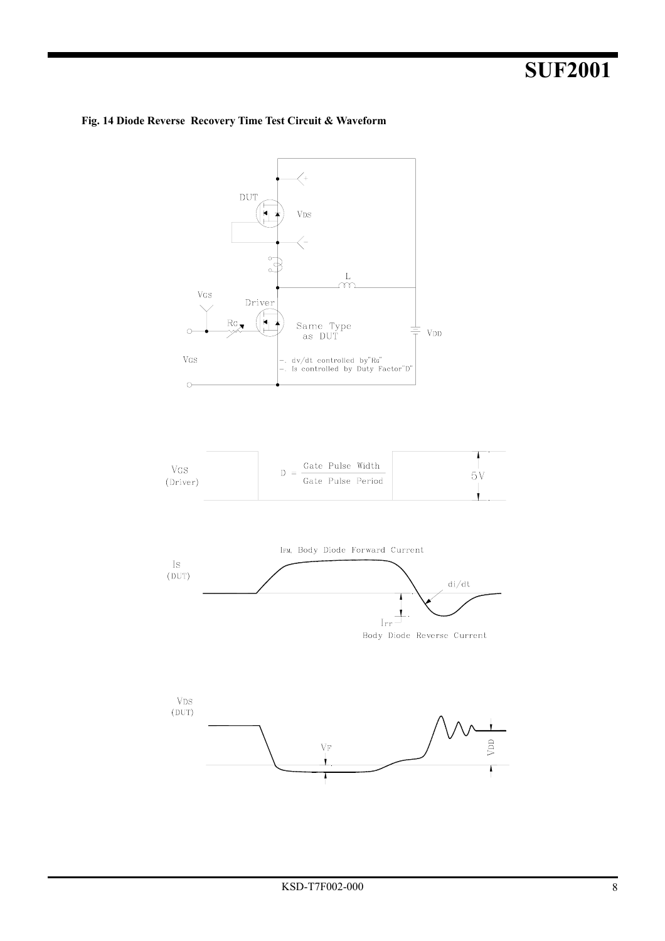

#### **Fig. 14 Diode Reverse Recovery Time Test Circuit & Waveform**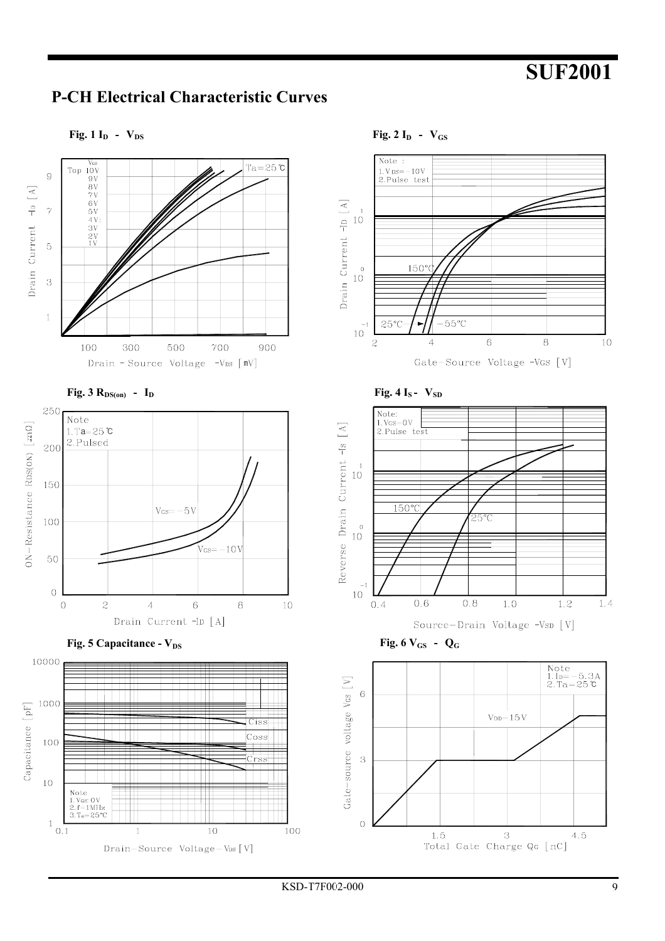### **P-CH Electrical Characteristic Curves**



**Fig. 2 I<sub>D</sub> - V<sub>GS</sub>** 

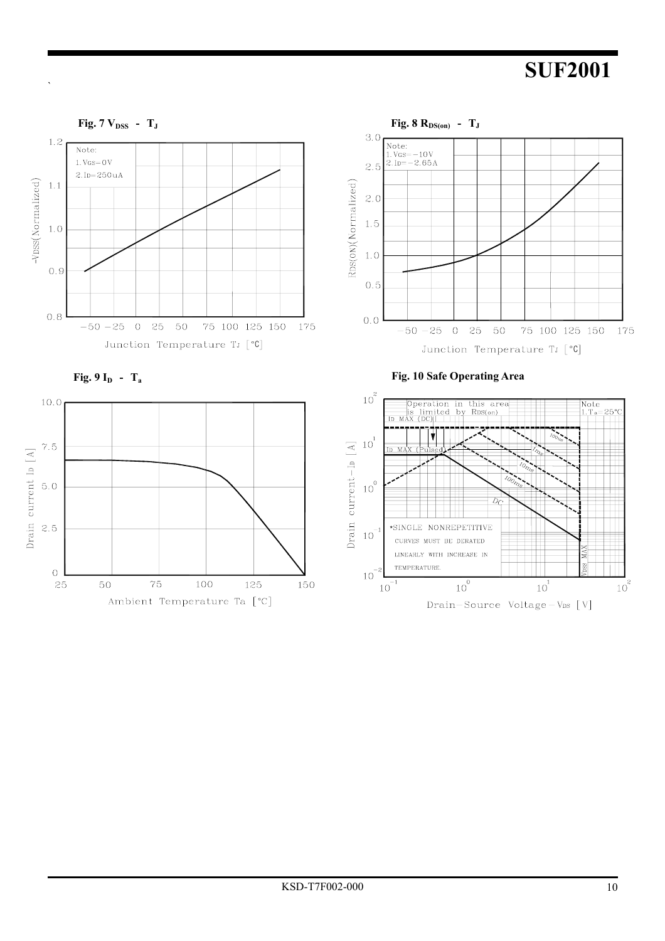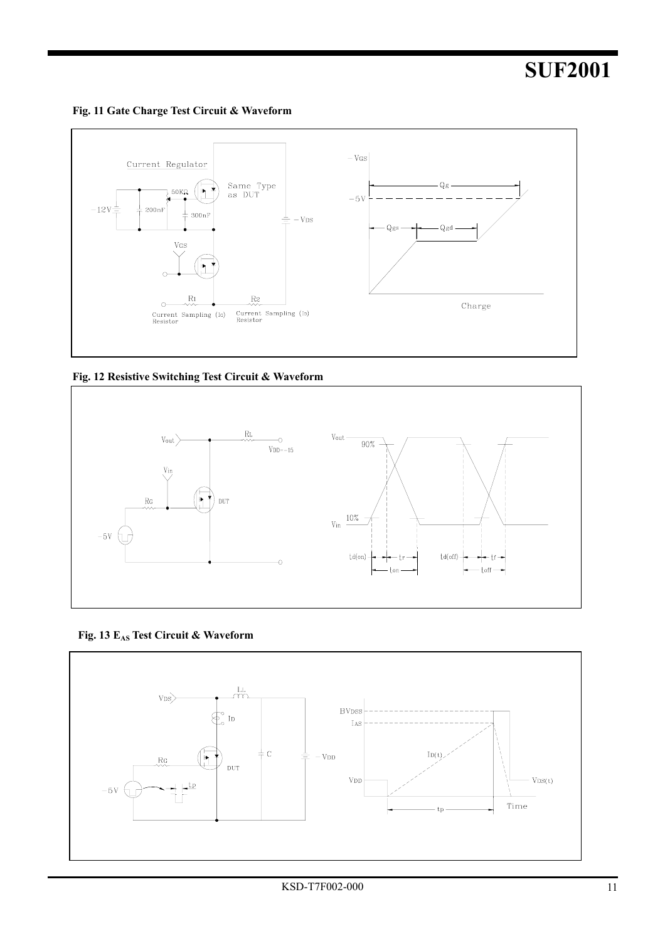**Fig. 11 Gate Charge Test Circuit & Waveform** 



 **Fig. 12 Resistive Switching Test Circuit & Waveform** 



 **Fig. 13 EAS Test Circuit & Waveform** 

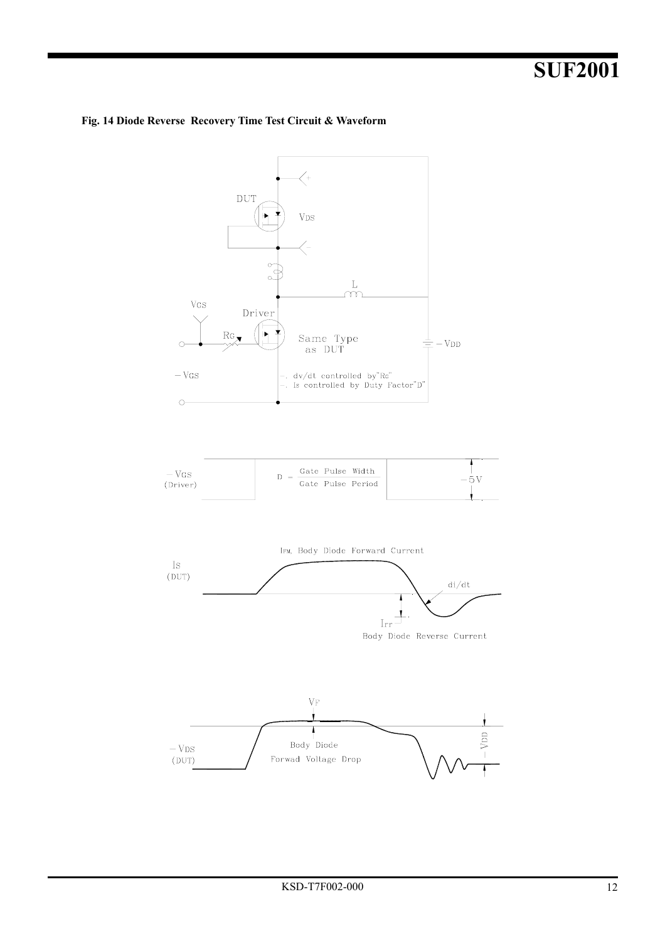

#### **Fig. 14 Diode Reverse Recovery Time Test Circuit & Waveform**